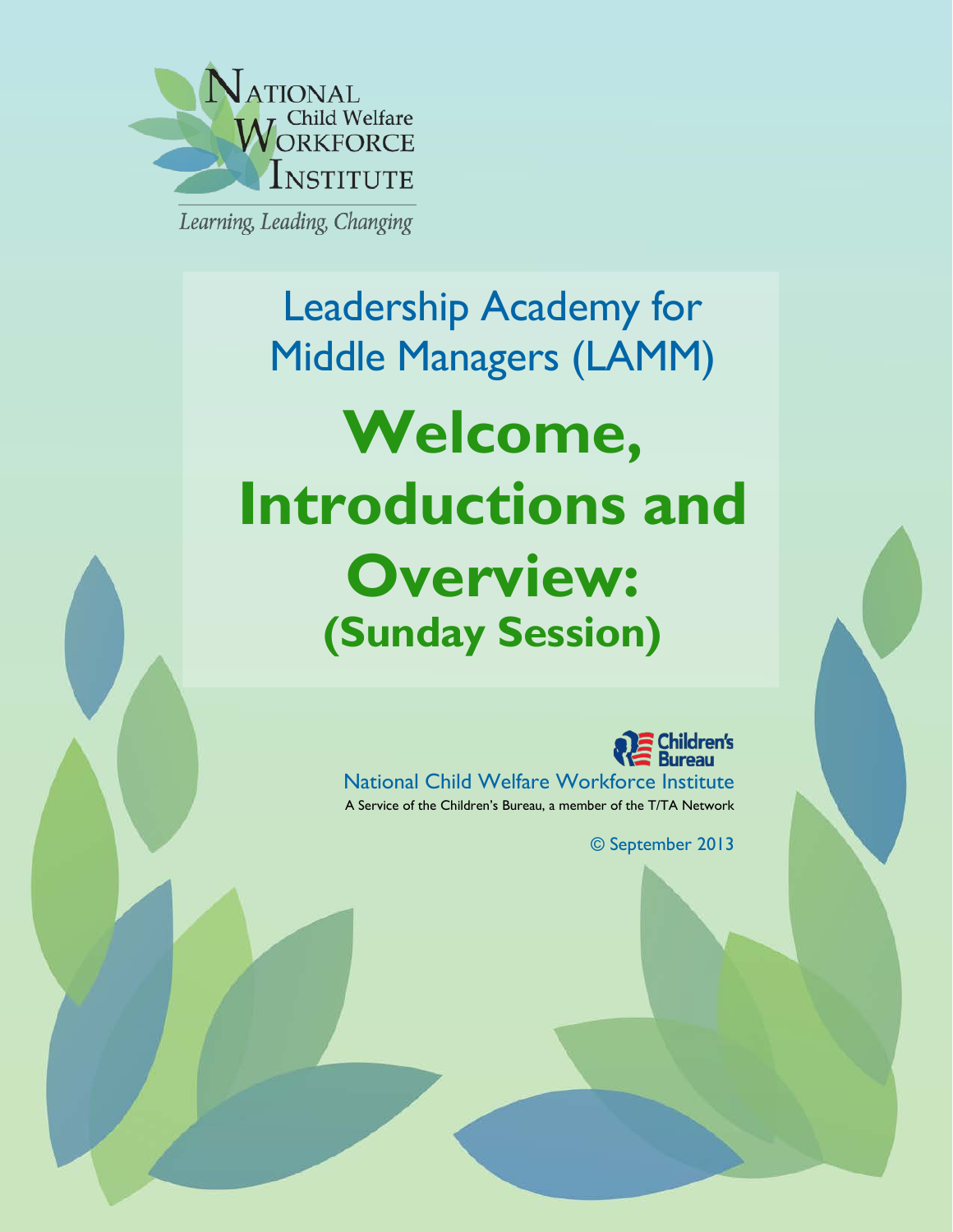

Learning, Leading, Changing

Leadership Academy for Middle Managers (LAMM) **Welcome, Introductions and Overview: (Sunday Session)**



National Child Welfare Workforce Institute A Service of the Children's Bureau, a member of the T/TA Network

© September 2013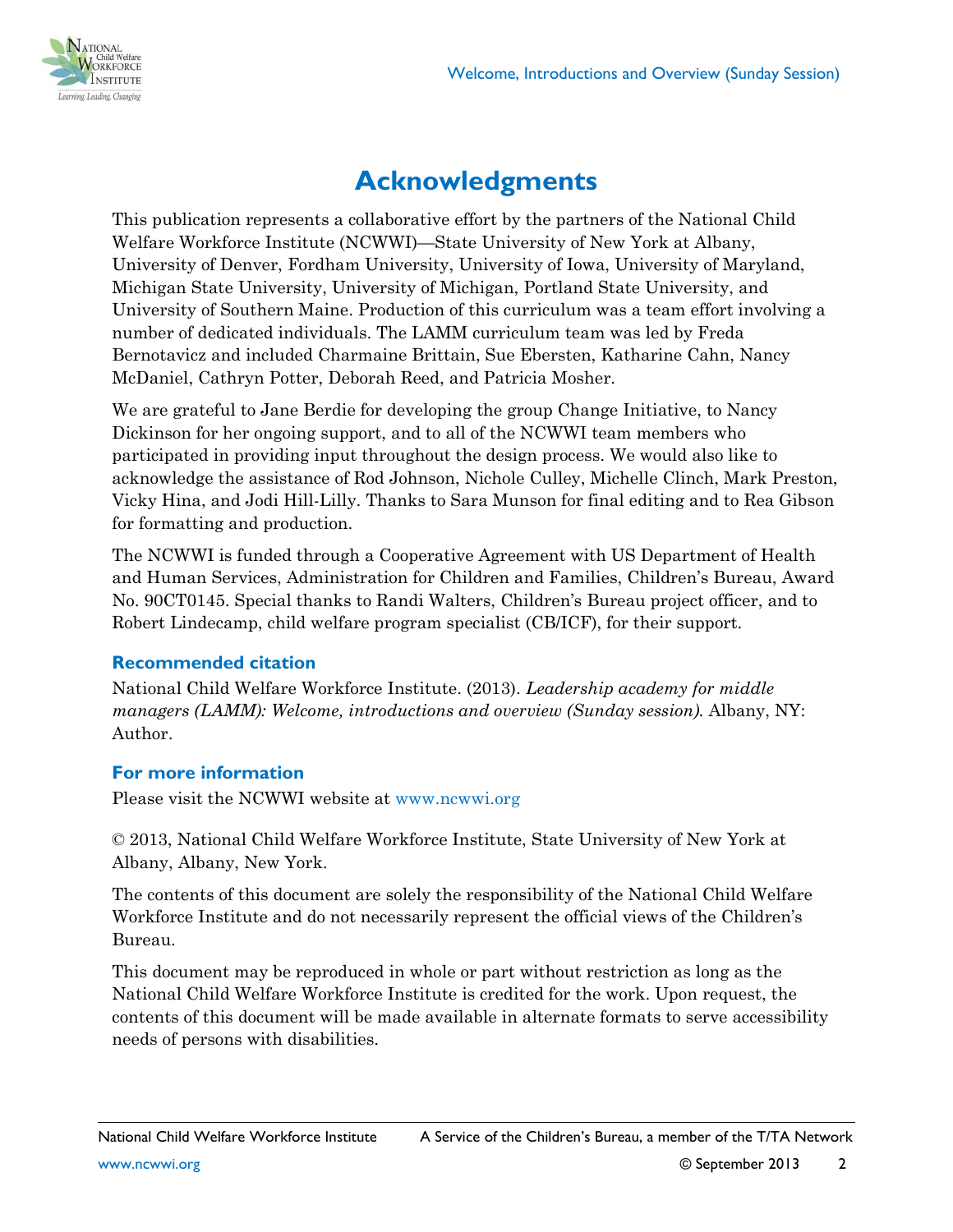

# **Acknowledgments**

This publication represents a collaborative effort by the partners of the National Child Welfare Workforce Institute (NCWWI)—State University of New York at Albany, University of Denver, Fordham University, University of Iowa, University of Maryland, Michigan State University, University of Michigan, Portland State University, and University of Southern Maine. Production of this curriculum was a team effort involving a number of dedicated individuals. The LAMM curriculum team was led by Freda Bernotavicz and included Charmaine Brittain, Sue Ebersten, Katharine Cahn, Nancy McDaniel, Cathryn Potter, Deborah Reed, and Patricia Mosher.

We are grateful to Jane Berdie for developing the group Change Initiative, to Nancy Dickinson for her ongoing support, and to all of the NCWWI team members who participated in providing input throughout the design process. We would also like to acknowledge the assistance of Rod Johnson, Nichole Culley, Michelle Clinch, Mark Preston, Vicky Hina, and Jodi Hill-Lilly. Thanks to Sara Munson for final editing and to Rea Gibson for formatting and production.

The NCWWI is funded through a Cooperative Agreement with US Department of Health and Human Services, Administration for Children and Families, Children's Bureau, Award No. 90CT0145. Special thanks to Randi Walters, Children's Bureau project officer, and to Robert Lindecamp, child welfare program specialist (CB/ICF), for their support.

#### **Recommended citation**

National Child Welfare Workforce Institute. (2013). *Leadership academy for middle managers (LAMM): Welcome, introductions and overview (Sunday session). Albany, NY:* Author.

#### **For more information**

Please visit the NCWWI website at [www.ncwwi.org](http://www.ncwwi.org/)

© 2013, National Child Welfare Workforce Institute, State University of New York at Albany, Albany, New York.

The contents of this document are solely the responsibility of the National Child Welfare Workforce Institute and do not necessarily represent the official views of the Children's Bureau.

This document may be reproduced in whole or part without restriction as long as the National Child Welfare Workforce Institute is credited for the work. Upon request, the contents of this document will be made available in alternate formats to serve accessibility needs of persons with disabilities.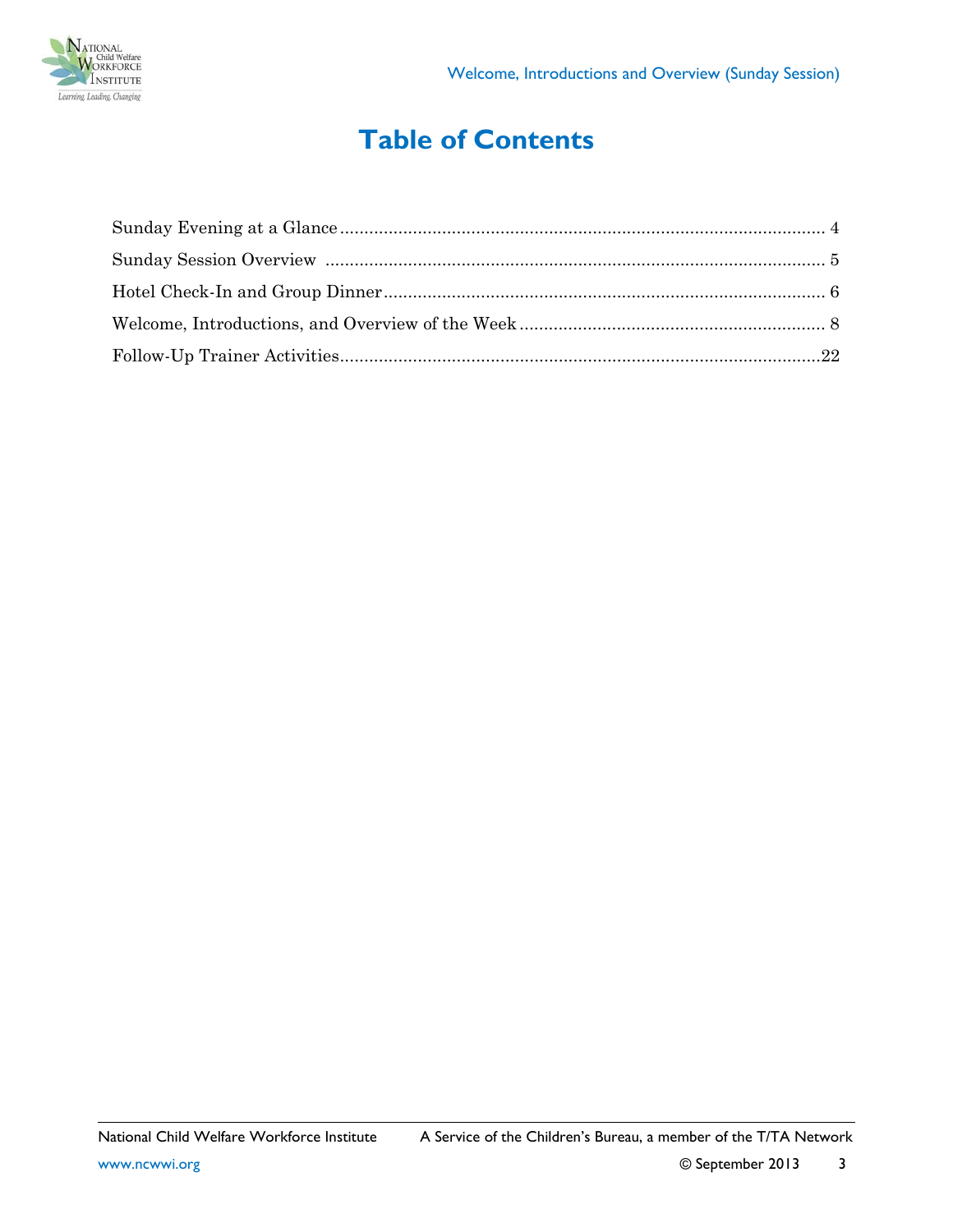

# **Table of Contents**

| ${\bf Follow\mbox{-}Up\mbox{-}Trainer\mbox{-}Activities\nonumber$ |  |
|-------------------------------------------------------------------|--|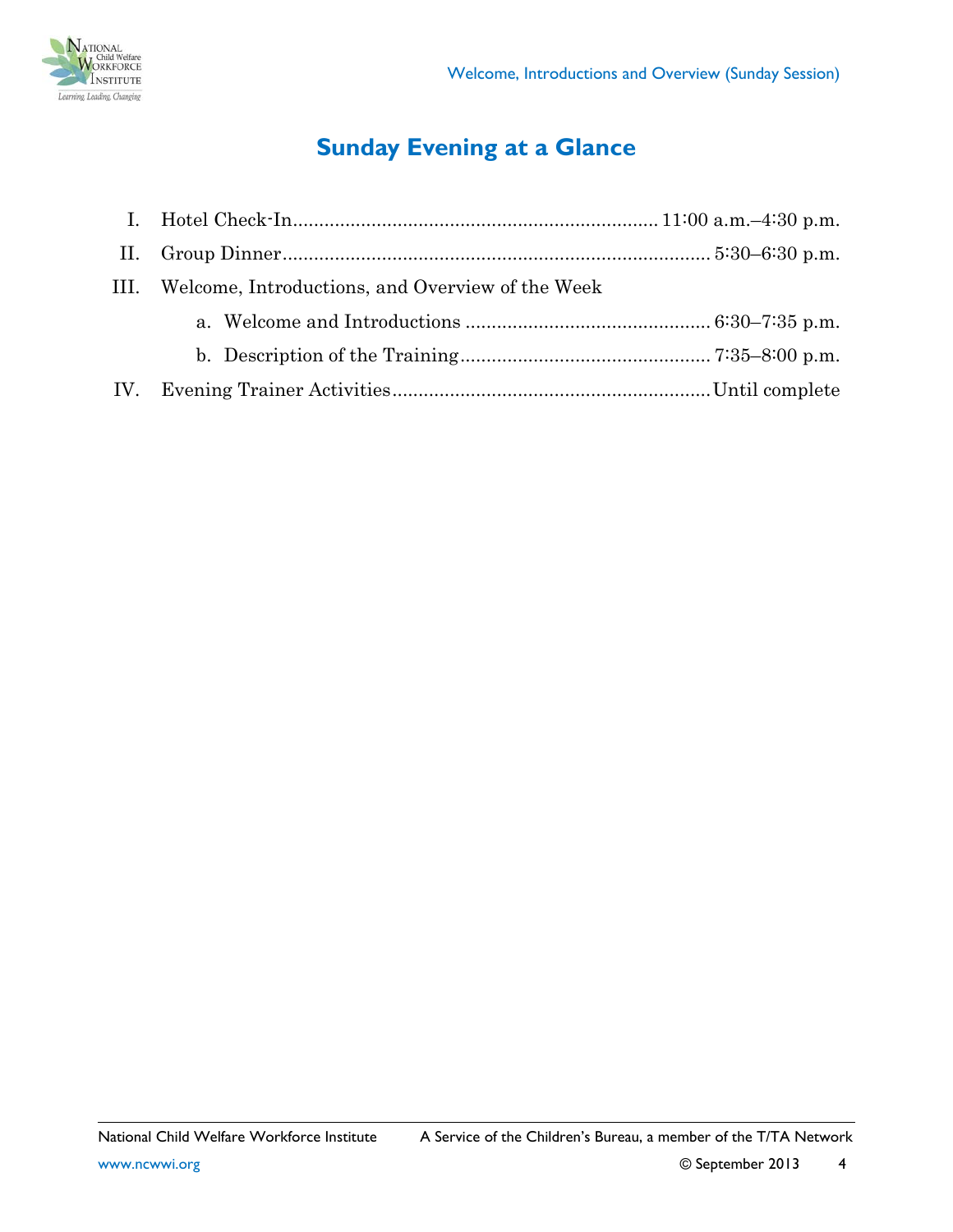

# **Sunday Evening at a Glance**

<span id="page-3-0"></span>

| III. Welcome, Introductions, and Overview of the Week |  |  |
|-------------------------------------------------------|--|--|
|                                                       |  |  |
|                                                       |  |  |
|                                                       |  |  |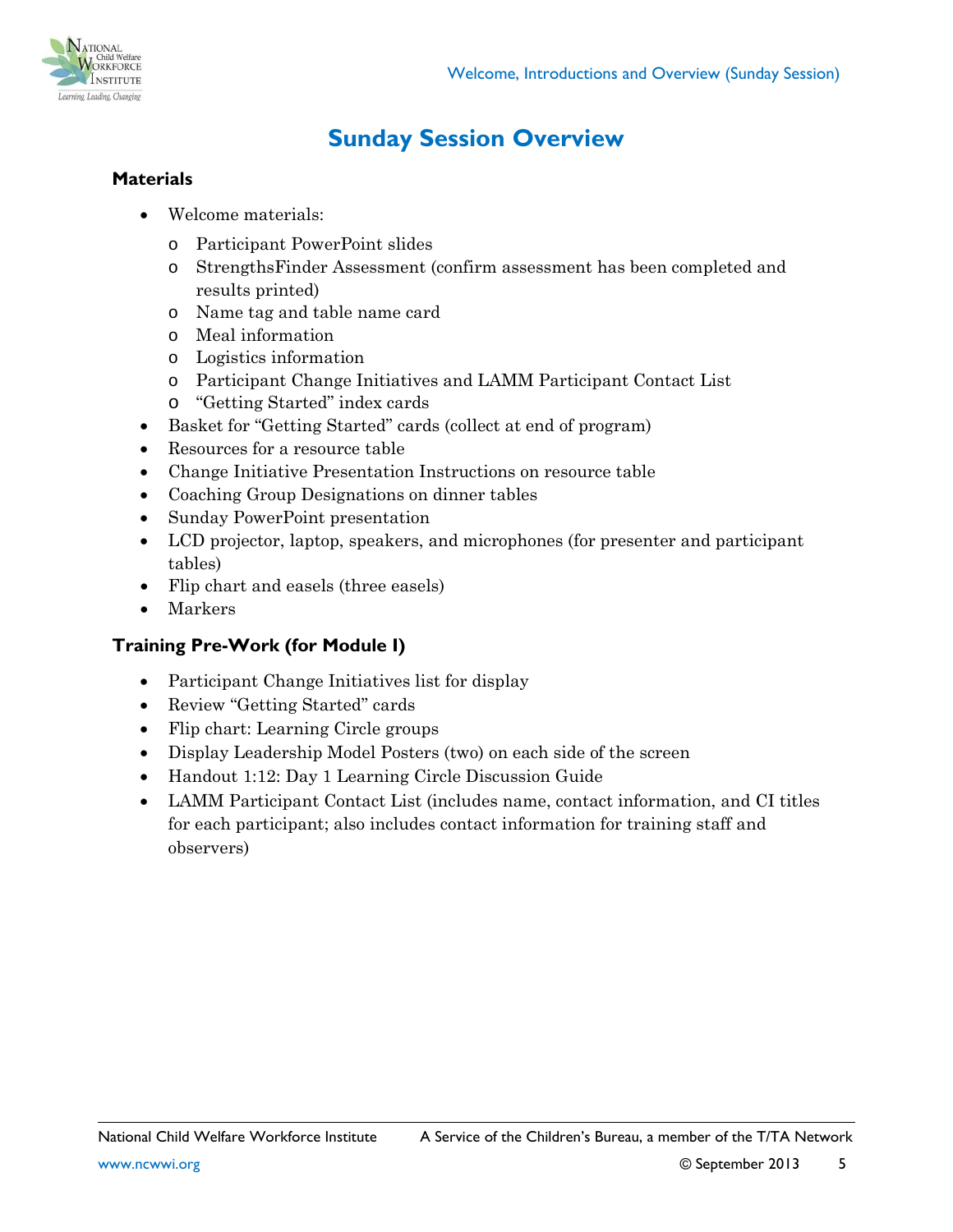

## **Sunday Session Overview**

### <span id="page-4-0"></span>**Materials**

- Welcome materials:
	- o Participant PowerPoint slides
	- o StrengthsFinder Assessment (confirm assessment has been completed and results printed)
	- o Name tag and table name card
	- o Meal information
	- o Logistics information
	- o Participant Change Initiatives and LAMM Participant Contact List
	- o "Getting Started" index cards
- Basket for "Getting Started" cards (collect at end of program)
- Resources for a resource table
- Change Initiative Presentation Instructions on resource table
- Coaching Group Designations on dinner tables
- Sunday PowerPoint presentation
- LCD projector, laptop, speakers, and microphones (for presenter and participant tables)
- Flip chart and easels (three easels)
- Markers

#### **Training Pre-Work (for Module I)**

- Participant Change Initiatives list for display
- Review "Getting Started" cards
- Flip chart: Learning Circle groups
- Display Leadership Model Posters (two) on each side of the screen
- Handout 1:12: Day 1 Learning Circle Discussion Guide
- LAMM Participant Contact List (includes name, contact information, and CI titles for each participant; also includes contact information for training staff and observers)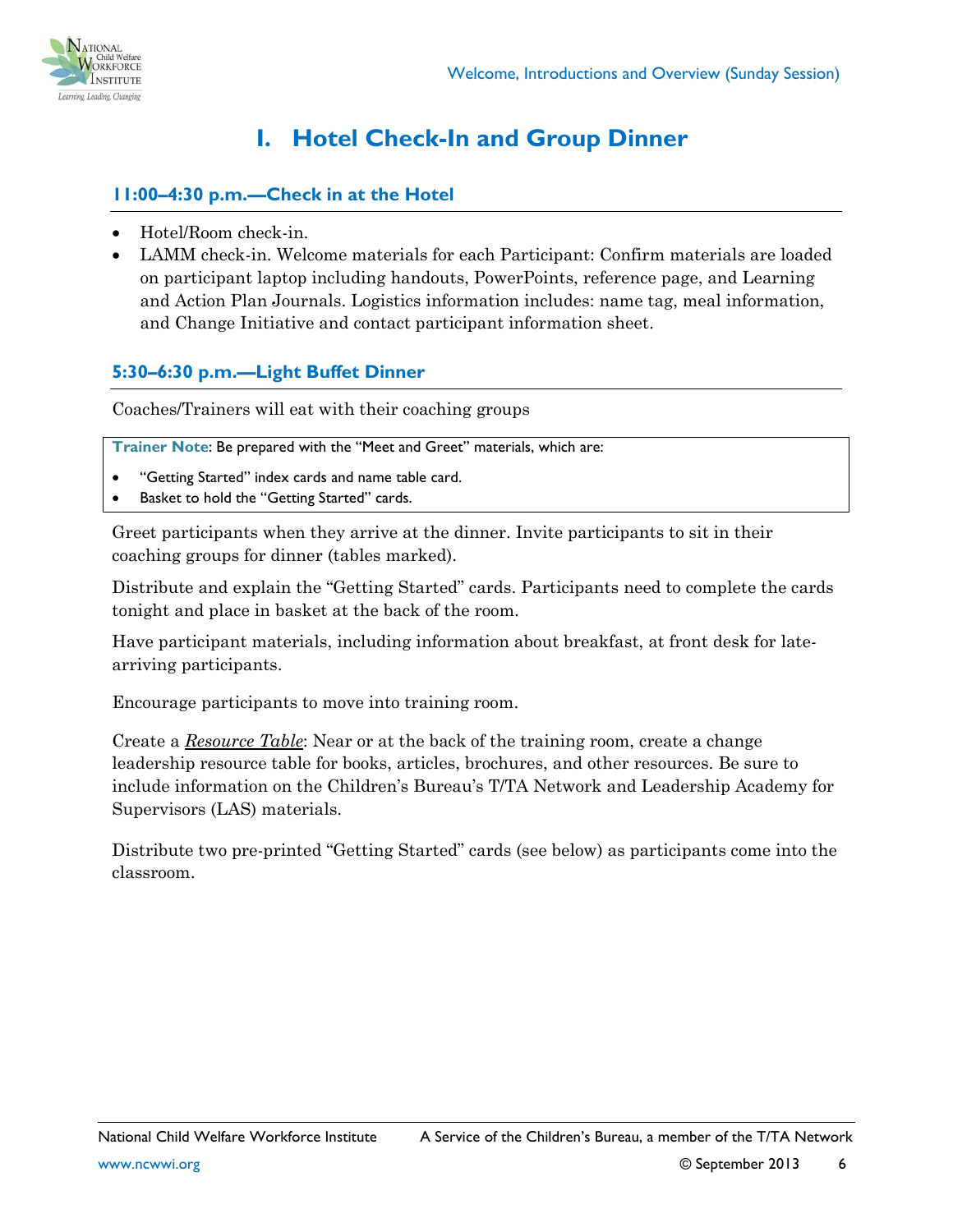

## **I. Hotel Check-In and Group Dinner**

#### <span id="page-5-0"></span>**11:00–4:30 p.m.—Check in at the Hotel**

- Hotel/Room check-in.
- LAMM check-in. Welcome materials for each Participant: Confirm materials are loaded on participant laptop including handouts, PowerPoints, reference page, and Learning and Action Plan Journals. Logistics information includes: name tag, meal information, and Change Initiative and contact participant information sheet.

### **5:30–6:30 p.m.—Light Buffet Dinner**

Coaches/Trainers will eat with their coaching groups

**Trainer Note**: Be prepared with the "Meet and Greet" materials, which are:

- "Getting Started" index cards and name table card.
- Basket to hold the "Getting Started" cards.

Greet participants when they arrive at the dinner. Invite participants to sit in their coaching groups for dinner (tables marked).

Distribute and explain the "Getting Started" cards. Participants need to complete the cards tonight and place in basket at the back of the room.

Have participant materials, including information about breakfast, at front desk for latearriving participants.

Encourage participants to move into training room.

Create a *Resource Table*: Near or at the back of the training room, create a change leadership resource table for books, articles, brochures, and other resources. Be sure to include information on the Children's Bureau's T/TA Network and Leadership Academy for Supervisors (LAS) materials.

Distribute two pre-printed "Getting Started" cards (see below) as participants come into the classroom.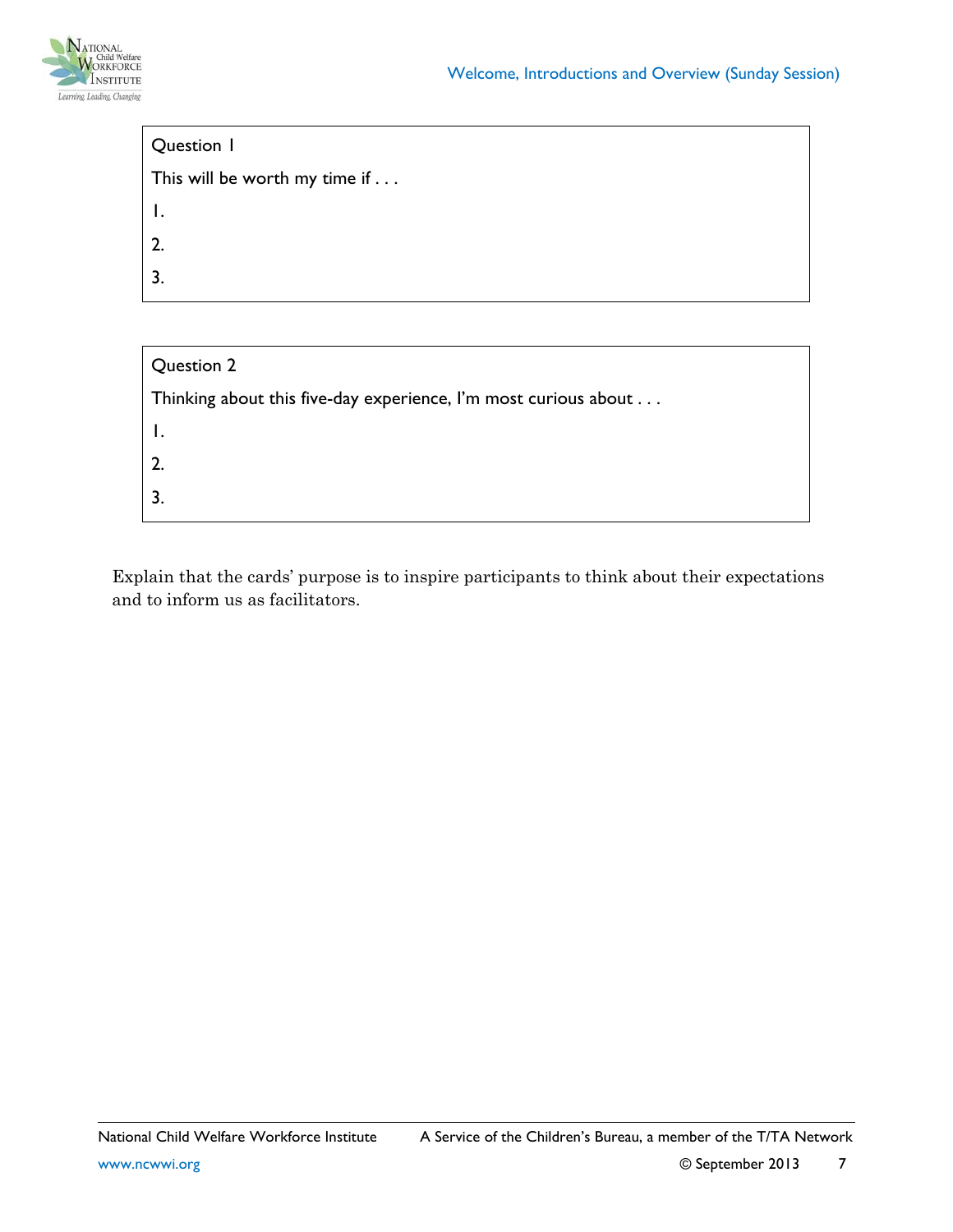

| Question 1                            |  |  |
|---------------------------------------|--|--|
| This will be worth my time if $\dots$ |  |  |
| $\mathbf{I}$ .                        |  |  |
| 2.                                    |  |  |
| 3.                                    |  |  |
|                                       |  |  |

| Question 2                                                      |
|-----------------------------------------------------------------|
| Thinking about this five-day experience, I'm most curious about |
| $\perp$ .                                                       |
| 2.                                                              |
|                                                                 |

Explain that the cards' purpose is to inspire participants to think about their expectations and to inform us as facilitators.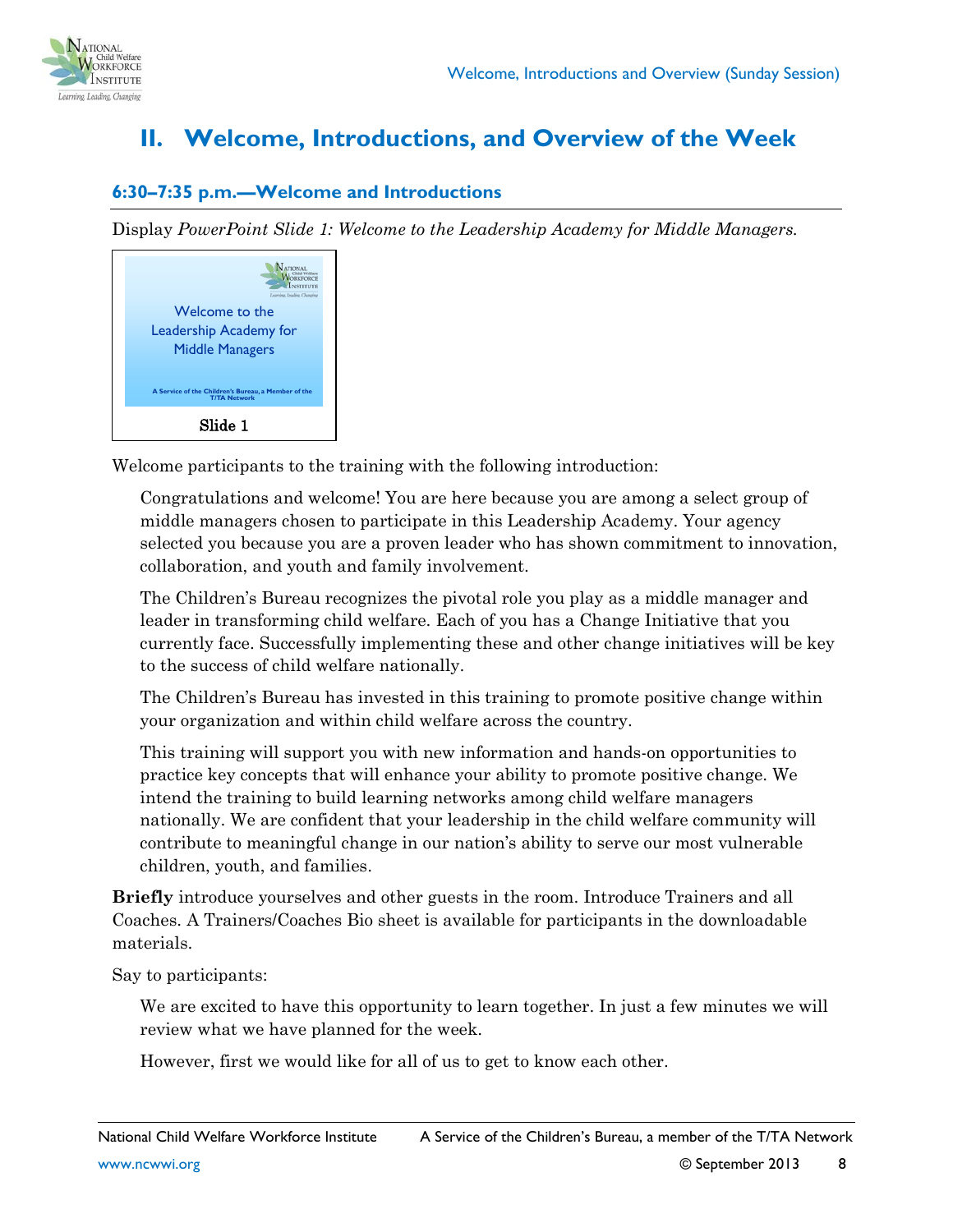

## <span id="page-7-0"></span>**II. Welcome, Introductions, and Overview of the Week**

#### **6:30–7:35 p.m.—Welcome and Introductions**

Display *PowerPoint Slide 1: Welcome to the Leadership Academy for Middle Managers.*

| Learning Leading Changings                                                 |  |  |
|----------------------------------------------------------------------------|--|--|
| Welcome to the                                                             |  |  |
| Leadership Academy for                                                     |  |  |
| <b>Middle Managers</b>                                                     |  |  |
| A Service of the Children's Bureau, a Member of the<br><b>T/TA Network</b> |  |  |
| Slide 1                                                                    |  |  |

Welcome participants to the training with the following introduction:

Congratulations and welcome! You are here because you are among a select group of middle managers chosen to participate in this Leadership Academy. Your agency selected you because you are a proven leader who has shown commitment to innovation, collaboration, and youth and family involvement.

The Children's Bureau recognizes the pivotal role you play as a middle manager and leader in transforming child welfare. Each of you has a Change Initiative that you currently face. Successfully implementing these and other change initiatives will be key to the success of child welfare nationally.

The Children's Bureau has invested in this training to promote positive change within your organization and within child welfare across the country.

This training will support you with new information and hands-on opportunities to practice key concepts that will enhance your ability to promote positive change. We intend the training to build learning networks among child welfare managers nationally. We are confident that your leadership in the child welfare community will contribute to meaningful change in our nation's ability to serve our most vulnerable children, youth, and families.

**Briefly** introduce yourselves and other guests in the room. Introduce Trainers and all Coaches. A Trainers/Coaches Bio sheet is available for participants in the downloadable materials.

Say to participants:

We are excited to have this opportunity to learn together. In just a few minutes we will review what we have planned for the week.

However, first we would like for all of us to get to know each other.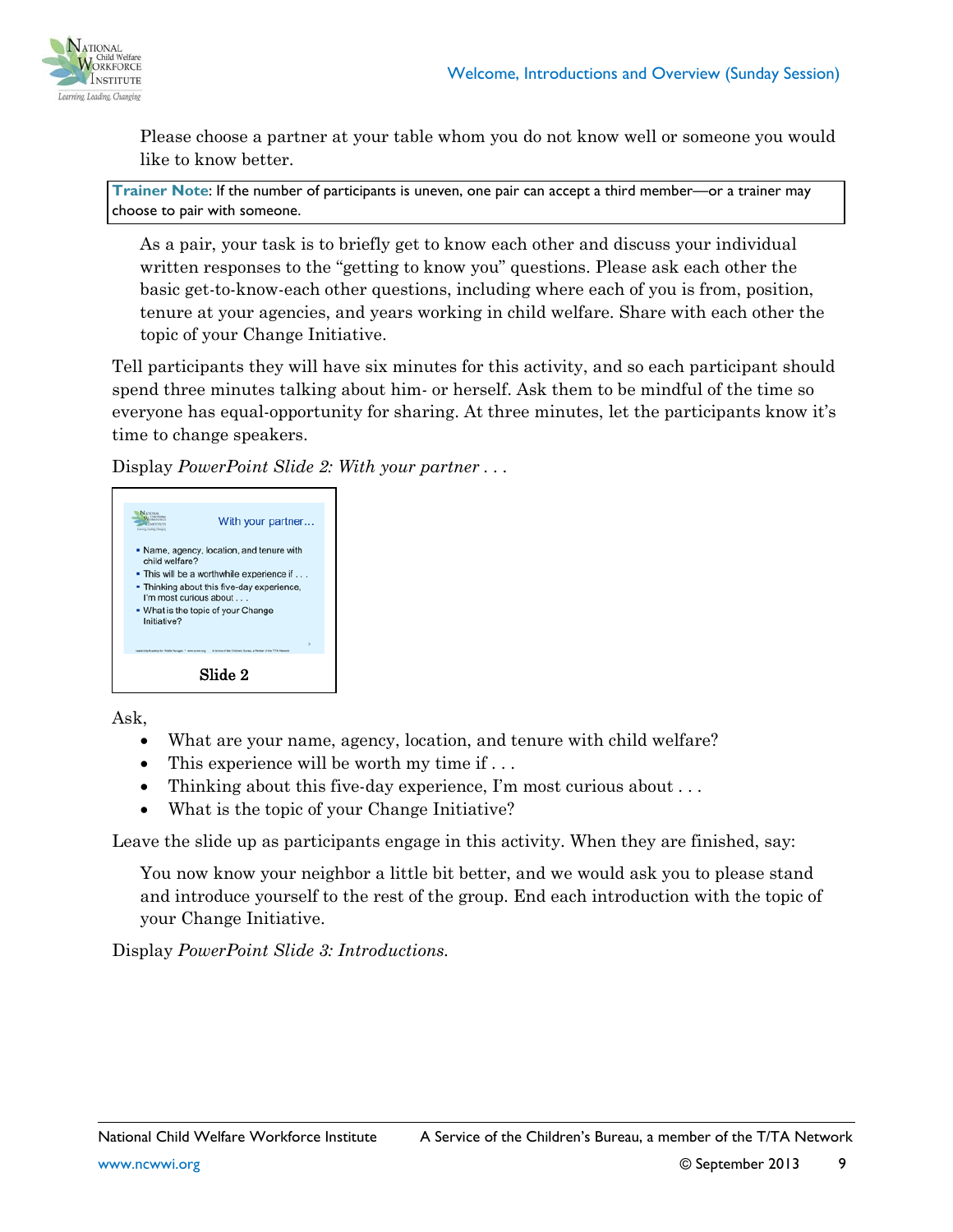

Please choose a partner at your table whom you do not know well or someone you would like to know better.

**Trainer Note**: If the number of participants is uneven, one pair can accept a third member—or a trainer may choose to pair with someone.

As a pair, your task is to briefly get to know each other and discuss your individual written responses to the "getting to know you" questions. Please ask each other the basic get-to-know-each other questions, including where each of you is from, position, tenure at your agencies, and years working in child welfare. Share with each other the topic of your Change Initiative.

Tell participants they will have six minutes for this activity, and so each participant should spend three minutes talking about him- or herself. Ask them to be mindful of the time so everyone has equal-opportunity for sharing. At three minutes, let the participants know it's time to change speakers.

Display *PowerPoint Slide 2: With your partner . . .* 



Ask,

- What are your name, agency, location, and tenure with child welfare?
- This experience will be worth my time if  $\dots$
- Thinking about this five-day experience, I'm most curious about . . .
- What is the topic of your Change Initiative?

Leave the slide up as participants engage in this activity. When they are finished, say:

You now know your neighbor a little bit better, and we would ask you to please stand and introduce yourself to the rest of the group. End each introduction with the topic of your Change Initiative.

Display *PowerPoint Slide 3: Introductions.*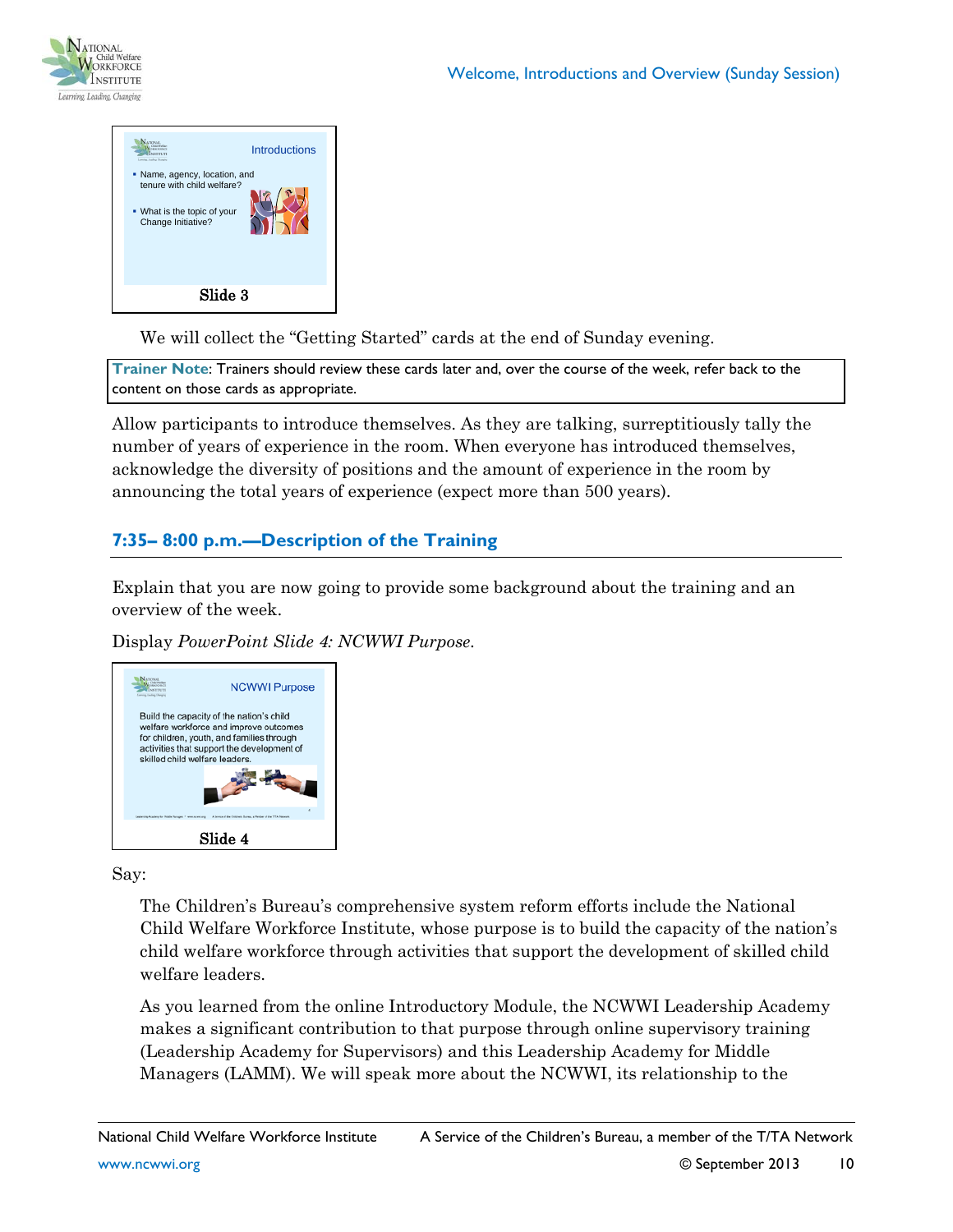



We will collect the "Getting Started" cards at the end of Sunday evening.

**Trainer Note**: Trainers should review these cards later and, over the course of the week, refer back to the content on those cards as appropriate.

Allow participants to introduce themselves. As they are talking, surreptitiously tally the number of years of experience in the room. When everyone has introduced themselves, acknowledge the diversity of positions and the amount of experience in the room by announcing the total years of experience (expect more than 500 years).

### **7:35– 8:00 p.m.—Description of the Training**

Explain that you are now going to provide some background about the training and an overview of the week.

Display *PowerPoint Slide 4: NCWWI Purpose.*



Say:

The Children's Bureau's comprehensive system reform efforts include the National Child Welfare Workforce Institute, whose purpose is to build the capacity of the nation's child welfare workforce through activities that support the development of skilled child welfare leaders.

As you learned from the online Introductory Module, the NCWWI Leadership Academy makes a significant contribution to that purpose through online supervisory training (Leadership Academy for Supervisors) and this Leadership Academy for Middle Managers (LAMM). We will speak more about the NCWWI, its relationship to the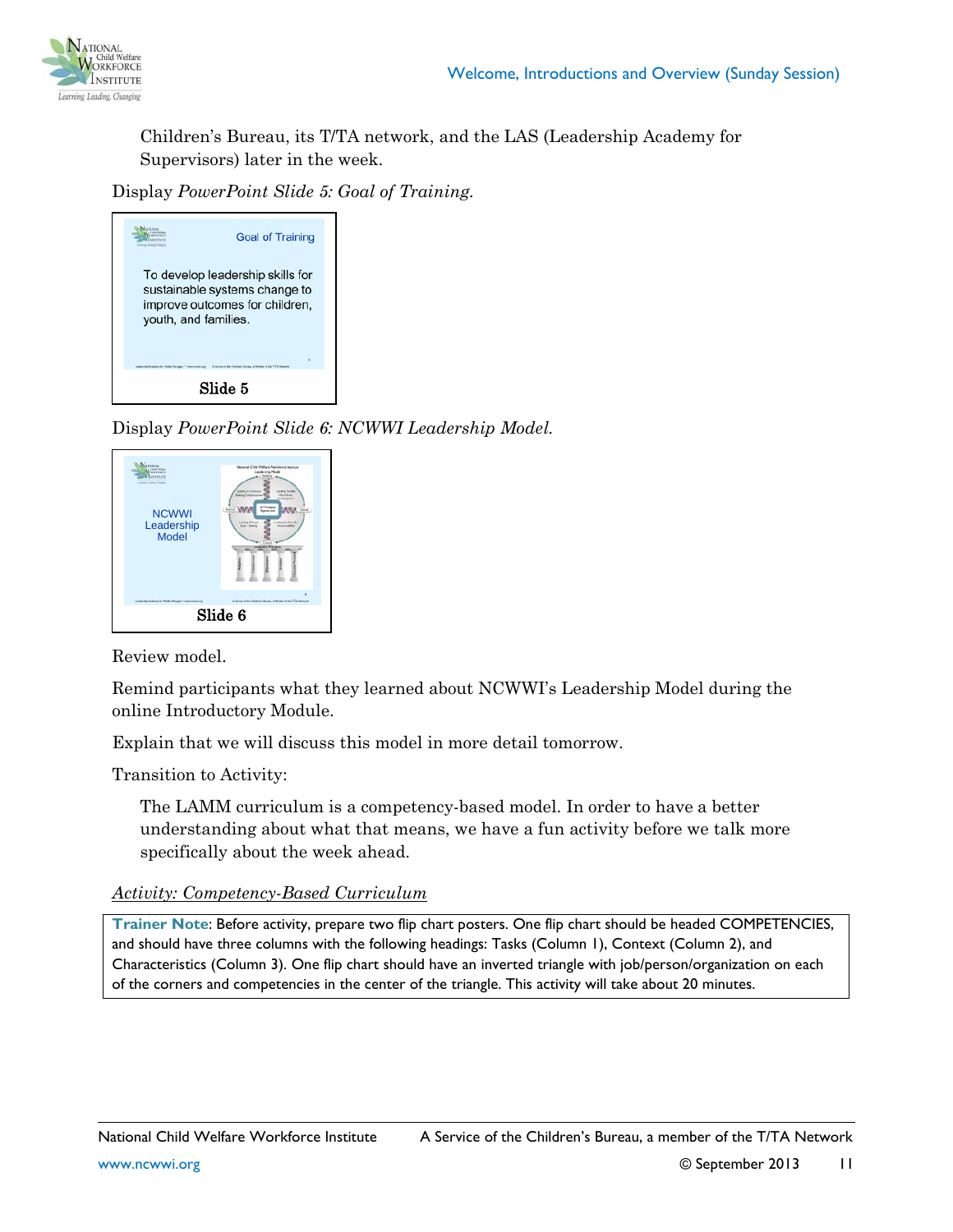

Children's Bureau, its T/TA network, and the LAS (Leadership Academy for Supervisors) later in the week.

Display *PowerPoint Slide 5: Goal of Training.*

| <b>Goal of Training</b><br>ig Awdeg Charging                                                                                |  |  |  |
|-----------------------------------------------------------------------------------------------------------------------------|--|--|--|
| To develop leadership skills for<br>sustainable systems change to<br>improve outcomes for children,<br>youth, and families. |  |  |  |
| ×<br>to of the Children's Bureau, a Martiner of the 177A National<br><b>Bradenschr Mobile Manager</b>                       |  |  |  |
| Slide 5                                                                                                                     |  |  |  |

Display *PowerPoint Slide 6: NCWWI Leadership Model.*

| aramouse.<br>Child Fisher<br>SSIITUTE<br><b>Lurety Leslies Chrysler</b><br><b>NCWWI</b><br>Leadership<br><b>Model</b>             | National Child Walfare Workforce Institute<br><b>Leadership Model</b><br><b>SAFFINGER</b><br><b>Report Follow</b><br><b>Leading Clus</b><br>askey for fu<br><b>Gout - Saint</b> |  |  |  |
|-----------------------------------------------------------------------------------------------------------------------------------|---------------------------------------------------------------------------------------------------------------------------------------------------------------------------------|--|--|--|
| ×<br>Leadership Academy for Middle Managers - revenuesmenting<br>A Service of the Children's Bureau, a Member of the T/TA Network |                                                                                                                                                                                 |  |  |  |
| Slide 6                                                                                                                           |                                                                                                                                                                                 |  |  |  |

Review model.

Remind participants what they learned about NCWWI's Leadership Model during the online Introductory Module.

Explain that we will discuss this model in more detail tomorrow.

Transition to Activity:

The LAMM curriculum is a competency-based model. In order to have a better understanding about what that means, we have a fun activity before we talk more specifically about the week ahead.

*Activity: Competency-Based Curriculum*

**Trainer Note**: Before activity, prepare two flip chart posters. One flip chart should be headed COMPETENCIES, and should have three columns with the following headings: Tasks (Column 1), Context (Column 2), and Characteristics (Column 3). One flip chart should have an inverted triangle with job/person/organization on each of the corners and competencies in the center of the triangle. This activity will take about 20 minutes.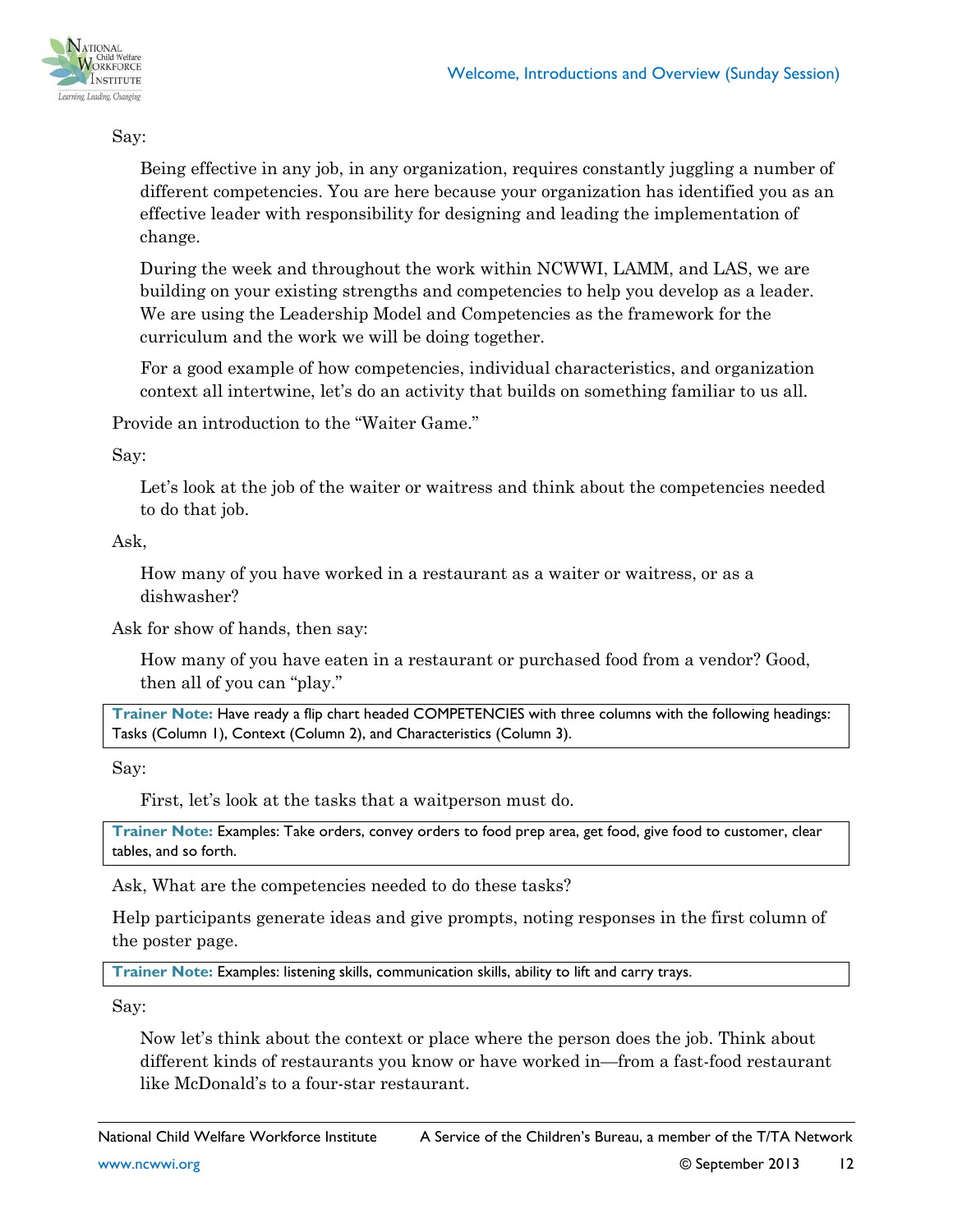

#### Say:

Being effective in any job, in any organization, requires constantly juggling a number of different competencies. You are here because your organization has identified you as an effective leader with responsibility for designing and leading the implementation of change.

During the week and throughout the work within NCWWI, LAMM, and LAS, we are building on your existing strengths and competencies to help you develop as a leader. We are using the Leadership Model and Competencies as the framework for the curriculum and the work we will be doing together.

For a good example of how competencies, individual characteristics, and organization context all intertwine, let's do an activity that builds on something familiar to us all.

Provide an introduction to the "Waiter Game."

Say:

Let's look at the job of the waiter or waitress and think about the competencies needed to do that job.

Ask,

How many of you have worked in a restaurant as a waiter or waitress, or as a dishwasher?

Ask for show of hands, then say:

How many of you have eaten in a restaurant or purchased food from a vendor? Good, then all of you can "play."

**Trainer Note:** Have ready a flip chart headed COMPETENCIES with three columns with the following headings: Tasks (Column 1), Context (Column 2), and Characteristics (Column 3).

Say:

First, let's look at the tasks that a waitperson must do.

**Trainer Note:** Examples: Take orders, convey orders to food prep area, get food, give food to customer, clear tables, and so forth.

Ask, What are the competencies needed to do these tasks?

Help participants generate ideas and give prompts, noting responses in the first column of the poster page.

**Trainer Note:** Examples: listening skills, communication skills, ability to lift and carry trays.

Say:

Now let's think about the context or place where the person does the job. Think about different kinds of restaurants you know or have worked in—from a fast-food restaurant like McDonald's to a four-star restaurant.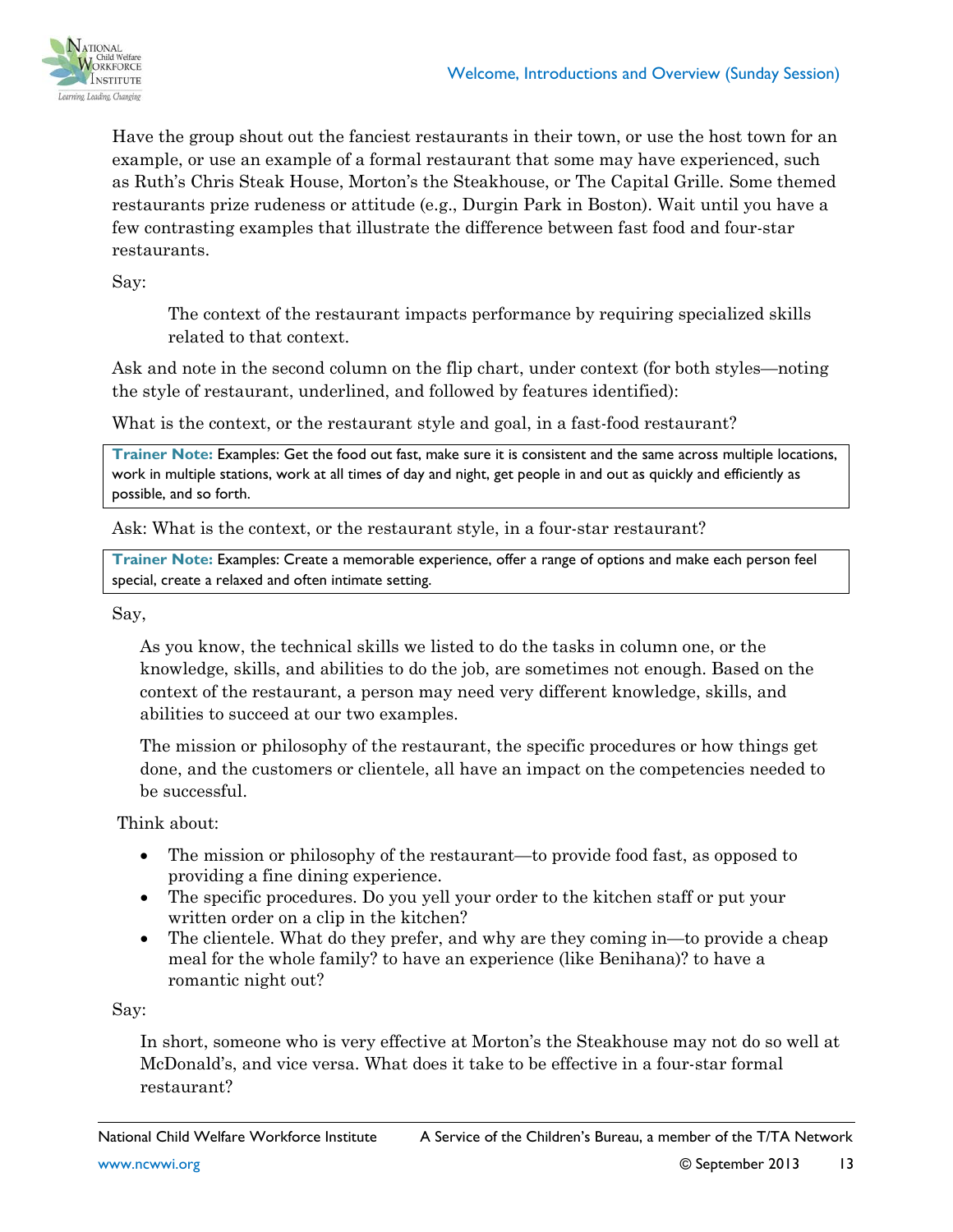

Have the group shout out the fanciest restaurants in their town, or use the host town for an example, or use an example of a formal restaurant that some may have experienced, such as Ruth's Chris Steak House, Morton's the Steakhouse, or The Capital Grille. Some themed restaurants prize rudeness or attitude (e.g., Durgin Park in Boston). Wait until you have a few contrasting examples that illustrate the difference between fast food and four-star restaurants.

Say:

The context of the restaurant impacts performance by requiring specialized skills related to that context.

Ask and note in the second column on the flip chart, under context (for both styles—noting the style of restaurant, underlined, and followed by features identified):

What is the context, or the restaurant style and goal, in a fast-food restaurant?

**Trainer Note:** Examples: Get the food out fast, make sure it is consistent and the same across multiple locations, work in multiple stations, work at all times of day and night, get people in and out as quickly and efficiently as possible, and so forth.

Ask: What is the context, or the restaurant style, in a four-star restaurant?

**Trainer Note:** Examples: Create a memorable experience, offer a range of options and make each person feel special, create a relaxed and often intimate setting.

Say,

As you know, the technical skills we listed to do the tasks in column one, or the knowledge, skills, and abilities to do the job, are sometimes not enough. Based on the context of the restaurant, a person may need very different knowledge, skills, and abilities to succeed at our two examples.

The mission or philosophy of the restaurant, the specific procedures or how things get done, and the customers or clientele, all have an impact on the competencies needed to be successful.

Think about:

- The mission or philosophy of the restaurant—to provide food fast, as opposed to providing a fine dining experience.
- The specific procedures. Do you yell your order to the kitchen staff or put your written order on a clip in the kitchen?
- The clientele. What do they prefer, and why are they coming in—to provide a cheap meal for the whole family? to have an experience (like Benihana)? to have a romantic night out?

Say:

In short, someone who is very effective at Morton's the Steakhouse may not do so well at McDonald's, and vice versa. What does it take to be effective in a four-star formal restaurant?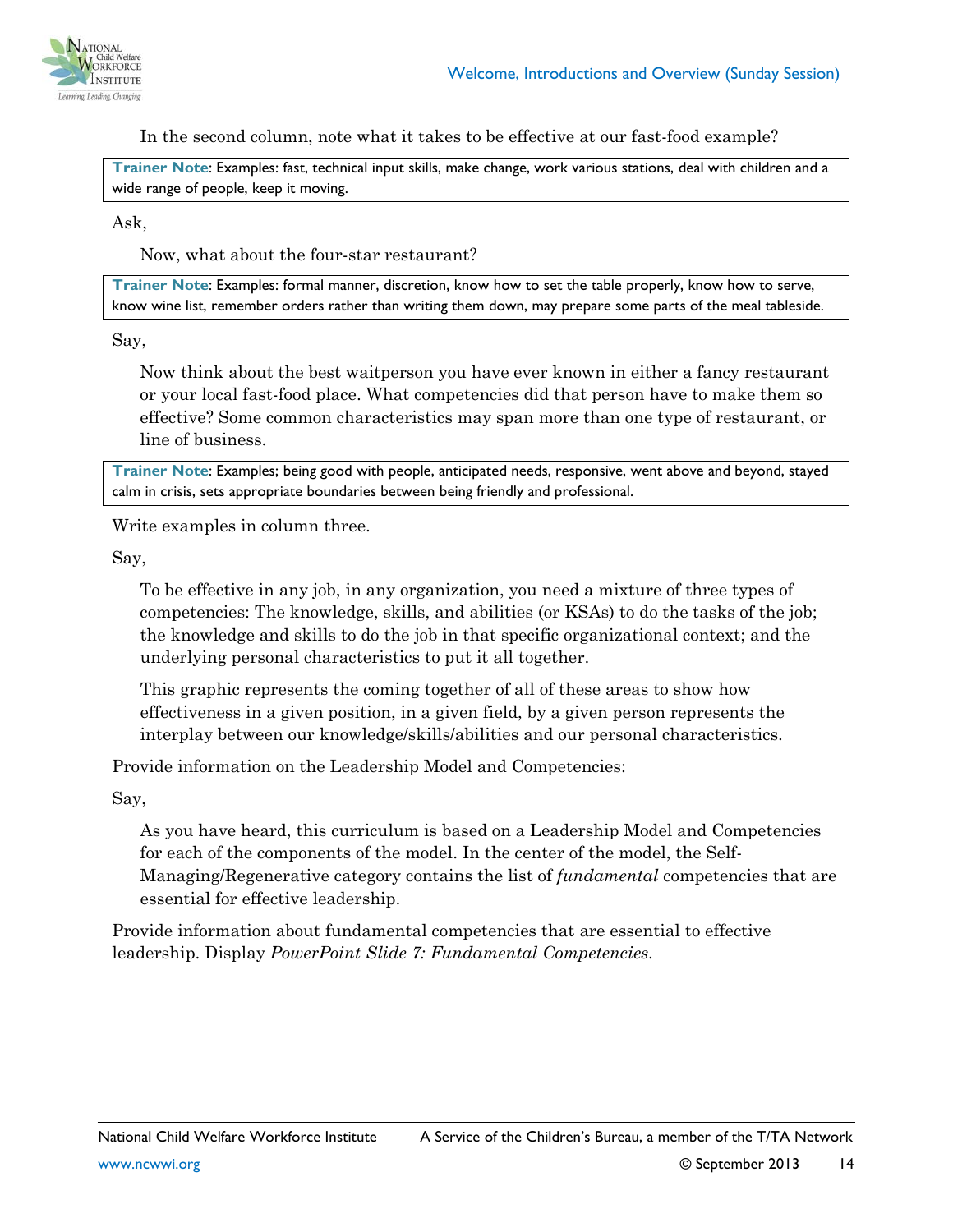

In the second column, note what it takes to be effective at our fast-food example?

**Trainer Note**: Examples: fast, technical input skills, make change, work various stations, deal with children and a wide range of people, keep it moving.

Ask,

Now, what about the four-star restaurant?

**Trainer Note**: Examples: formal manner, discretion, know how to set the table properly, know how to serve, know wine list, remember orders rather than writing them down, may prepare some parts of the meal tableside.

Say,

Now think about the best waitperson you have ever known in either a fancy restaurant or your local fast-food place. What competencies did that person have to make them so effective? Some common characteristics may span more than one type of restaurant, or line of business.

**Trainer Note**: Examples; being good with people, anticipated needs, responsive, went above and beyond, stayed calm in crisis, sets appropriate boundaries between being friendly and professional.

Write examples in column three.

Say,

To be effective in any job, in any organization, you need a mixture of three types of competencies: The knowledge, skills, and abilities (or KSAs) to do the tasks of the job; the knowledge and skills to do the job in that specific organizational context; and the underlying personal characteristics to put it all together.

This graphic represents the coming together of all of these areas to show how effectiveness in a given position, in a given field, by a given person represents the interplay between our knowledge/skills/abilities and our personal characteristics.

Provide information on the Leadership Model and Competencies:

Say,

As you have heard, this curriculum is based on a Leadership Model and Competencies for each of the components of the model. In the center of the model, the Self-Managing/Regenerative category contains the list of *fundamental* competencies that are essential for effective leadership.

Provide information about fundamental competencies that are essential to effective leadership. Display *PowerPoint Slide 7: Fundamental Competencies.*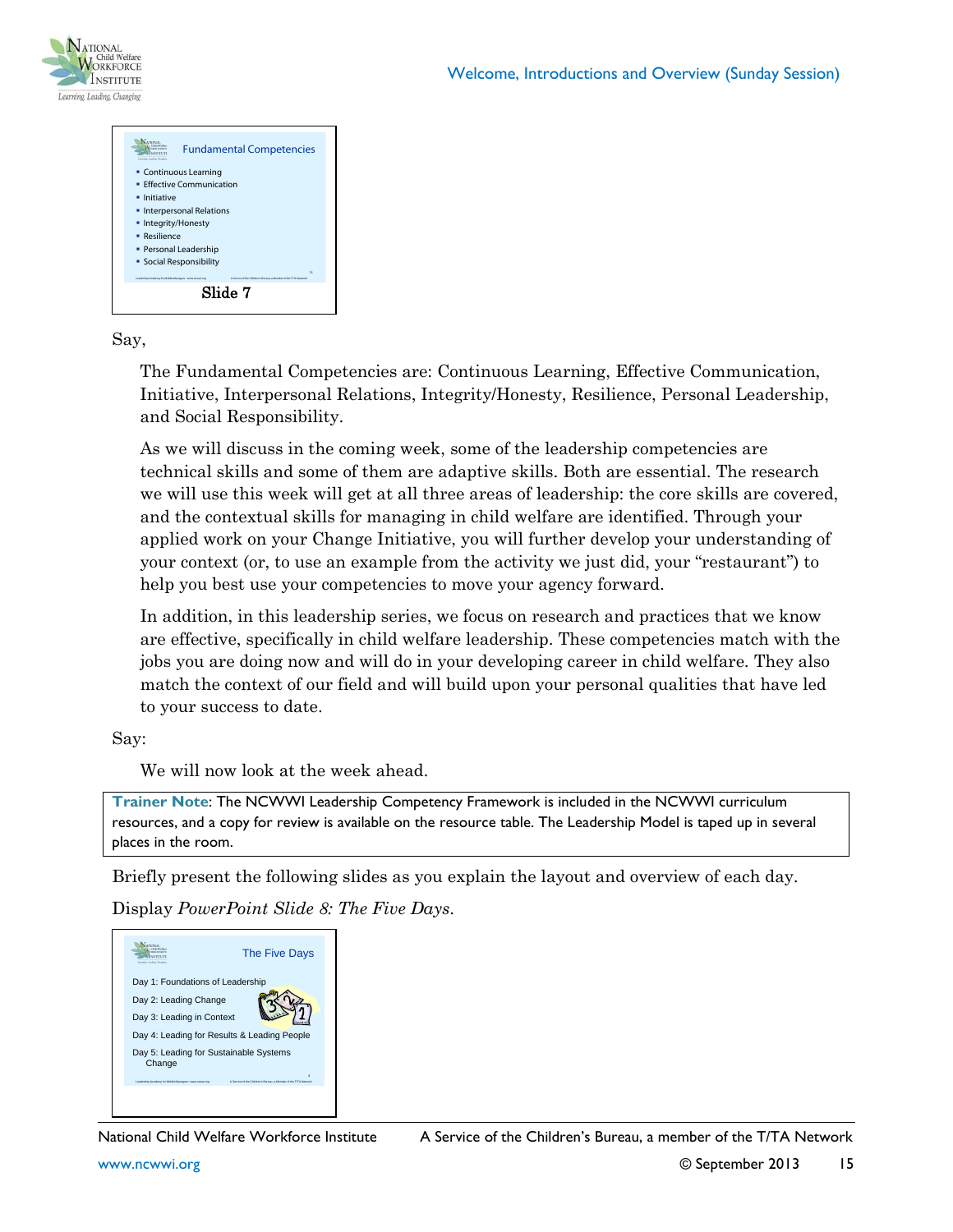



Say,

The Fundamental Competencies are: Continuous Learning, Effective Communication, Initiative, Interpersonal Relations, Integrity/Honesty, Resilience, Personal Leadership, and Social Responsibility.

As we will discuss in the coming week, some of the leadership competencies are technical skills and some of them are adaptive skills. Both are essential. The research we will use this week will get at all three areas of leadership: the core skills are covered, and the contextual skills for managing in child welfare are identified. Through your applied work on your Change Initiative, you will further develop your understanding of your context (or, to use an example from the activity we just did, your "restaurant") to help you best use your competencies to move your agency forward.

In addition, in this leadership series, we focus on research and practices that we know are effective, specifically in child welfare leadership. These competencies match with the jobs you are doing now and will do in your developing career in child welfare. They also match the context of our field and will build upon your personal qualities that have led to your success to date.

Say:

We will now look at the week ahead.

**Trainer Note**: The NCWWI Leadership Competency Framework is included in the NCWWI curriculum resources, and a copy for review is available on the resource table. The Leadership Model is taped up in several places in the room.

Briefly present the following slides as you explain the layout and overview of each day.

Display *PowerPoint Slide 8: The Five Days*.



National Child Welfare Workforce Institute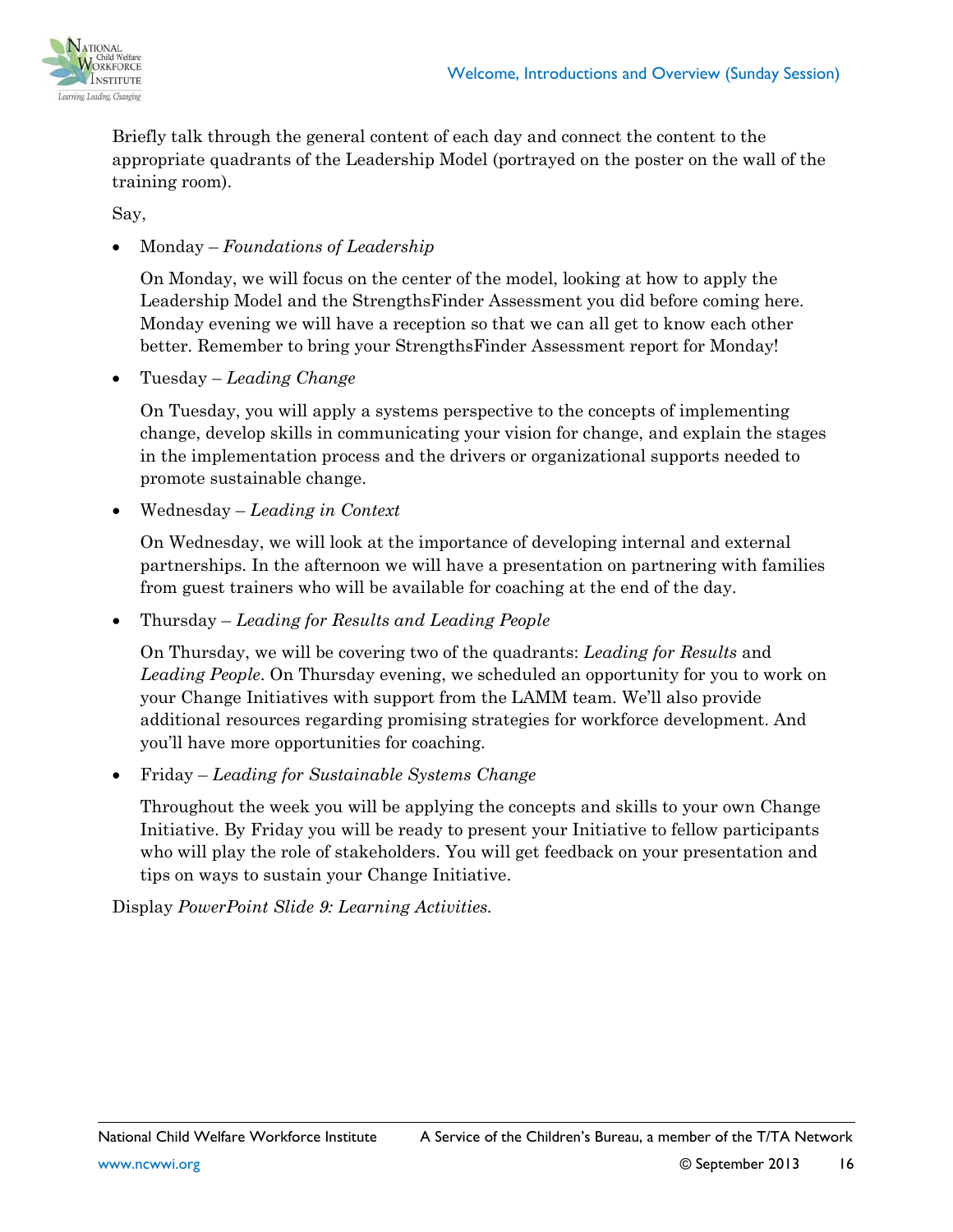



Briefly talk through the general content of each day and connect the content to the appropriate quadrants of the Leadership Model (portrayed on the poster on the wall of the training room).

Say,

### • Monday – *Foundations of Leadership*

On Monday, we will focus on the center of the model, looking at how to apply the Leadership Model and the StrengthsFinder Assessment you did before coming here. Monday evening we will have a reception so that we can all get to know each other better. Remember to bring your StrengthsFinder Assessment report for Monday!

• Tuesday – *Leading Change*

On Tuesday, you will apply a systems perspective to the concepts of implementing change, develop skills in communicating your vision for change, and explain the stages in the implementation process and the drivers or organizational supports needed to promote sustainable change.

• Wednesday – *Leading in Context*

On Wednesday, we will look at the importance of developing internal and external partnerships. In the afternoon we will have a presentation on partnering with families from guest trainers who will be available for coaching at the end of the day.

• Thursday – *Leading for Results and Leading People*

On Thursday, we will be covering two of the quadrants: *Leading for Results* and *Leading People*. On Thursday evening, we scheduled an opportunity for you to work on your Change Initiatives with support from the LAMM team. We'll also provide additional resources regarding promising strategies for workforce development. And you'll have more opportunities for coaching.

• Friday – *Leading for Sustainable Systems Change*

Throughout the week you will be applying the concepts and skills to your own Change Initiative. By Friday you will be ready to present your Initiative to fellow participants who will play the role of stakeholders. You will get feedback on your presentation and tips on ways to sustain your Change Initiative.

Display *PowerPoint Slide 9: Learning Activities.*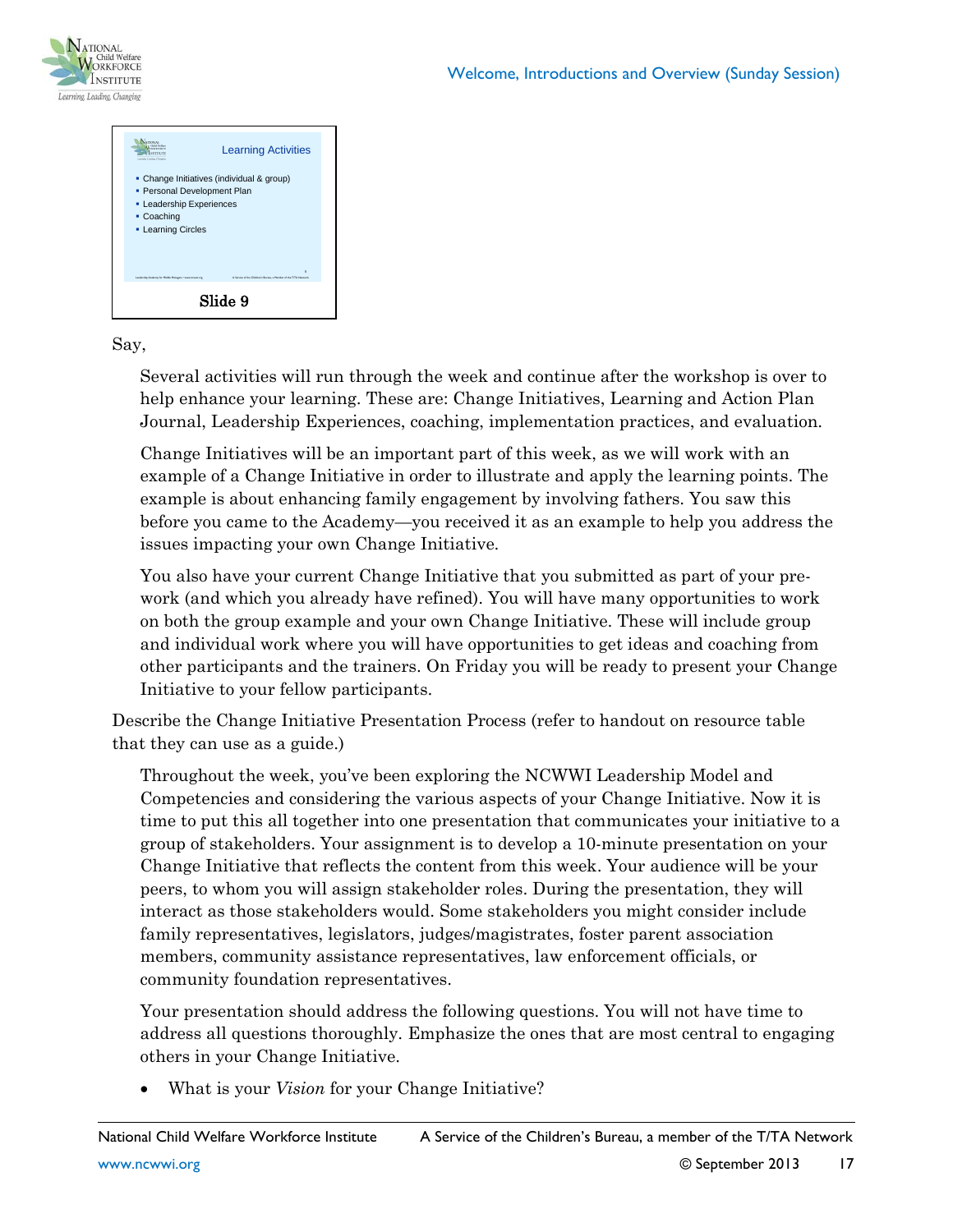



#### Say,

Several activities will run through the week and continue after the workshop is over to help enhance your learning. These are: Change Initiatives, Learning and Action Plan Journal, Leadership Experiences, coaching, implementation practices, and evaluation.

Change Initiatives will be an important part of this week, as we will work with an example of a Change Initiative in order to illustrate and apply the learning points. The example is about enhancing family engagement by involving fathers. You saw this before you came to the Academy—you received it as an example to help you address the issues impacting your own Change Initiative.

You also have your current Change Initiative that you submitted as part of your prework (and which you already have refined). You will have many opportunities to work on both the group example and your own Change Initiative. These will include group and individual work where you will have opportunities to get ideas and coaching from other participants and the trainers. On Friday you will be ready to present your Change Initiative to your fellow participants.

Describe the Change Initiative Presentation Process (refer to handout on resource table that they can use as a guide.)

Throughout the week, you've been exploring the NCWWI Leadership Model and Competencies and considering the various aspects of your Change Initiative. Now it is time to put this all together into one presentation that communicates your initiative to a group of stakeholders. Your assignment is to develop a 10-minute presentation on your Change Initiative that reflects the content from this week. Your audience will be your peers, to whom you will assign stakeholder roles. During the presentation, they will interact as those stakeholders would. Some stakeholders you might consider include family representatives, legislators, judges/magistrates, foster parent association members, community assistance representatives, law enforcement officials, or community foundation representatives.

Your presentation should address the following questions. You will not have time to address all questions thoroughly. Emphasize the ones that are most central to engaging others in your Change Initiative.

• What is your *Vision* for your Change Initiative?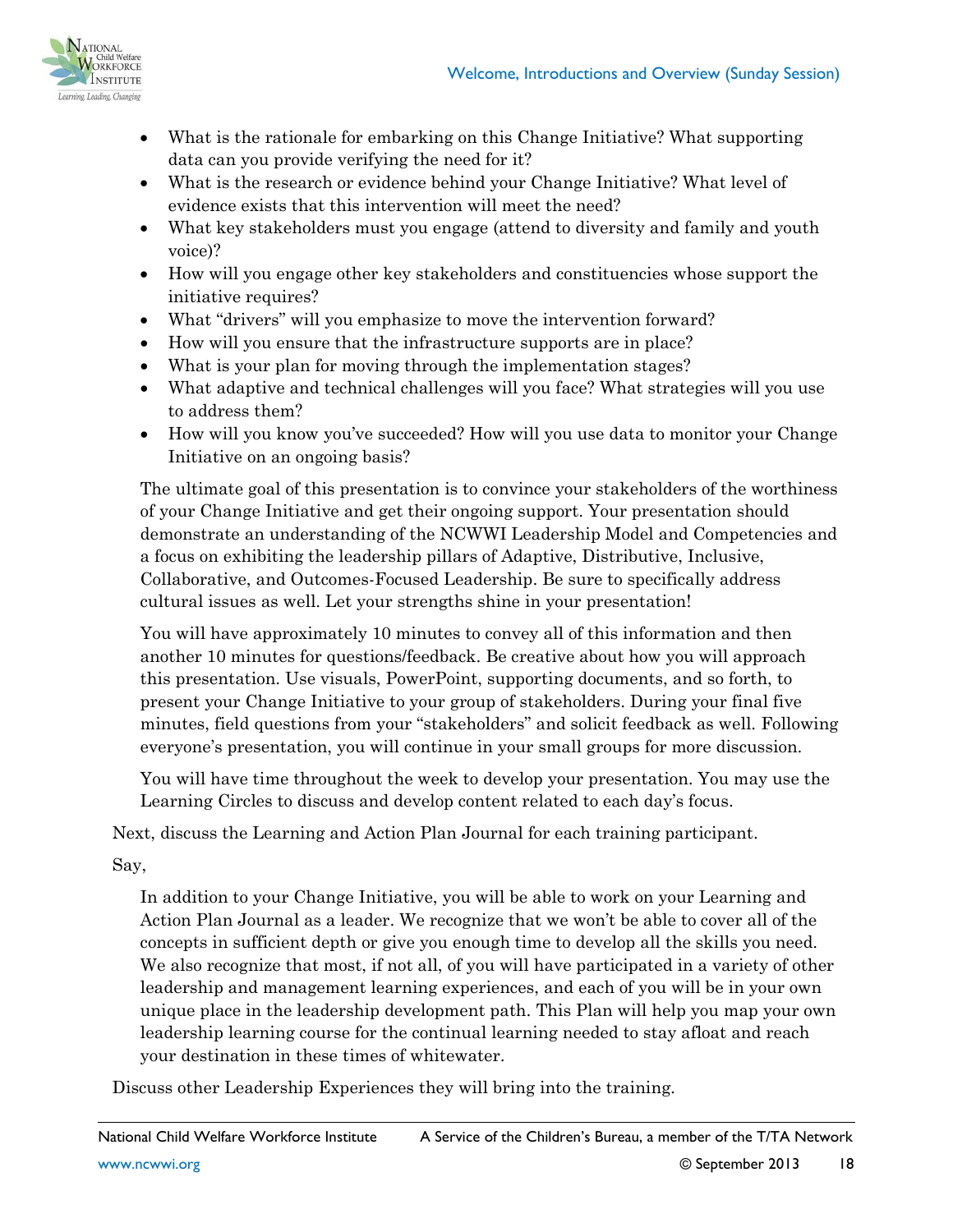

- What is the rationale for embarking on this Change Initiative? What supporting data can you provide verifying the need for it?
- What is the research or evidence behind your Change Initiative? What level of evidence exists that this intervention will meet the need?
- What key stakeholders must you engage (attend to diversity and family and youth voice)?
- How will you engage other key stakeholders and constituencies whose support the initiative requires?
- What "drivers" will you emphasize to move the intervention forward?
- How will you ensure that the infrastructure supports are in place?
- What is your plan for moving through the implementation stages?
- What adaptive and technical challenges will you face? What strategies will you use to address them?
- How will you know you've succeeded? How will you use data to monitor your Change Initiative on an ongoing basis?

The ultimate goal of this presentation is to convince your stakeholders of the worthiness of your Change Initiative and get their ongoing support. Your presentation should demonstrate an understanding of the NCWWI Leadership Model and Competencies and a focus on exhibiting the leadership pillars of Adaptive, Distributive, Inclusive, Collaborative, and Outcomes-Focused Leadership. Be sure to specifically address cultural issues as well. Let your strengths shine in your presentation!

You will have approximately 10 minutes to convey all of this information and then another 10 minutes for questions/feedback. Be creative about how you will approach this presentation. Use visuals, PowerPoint, supporting documents, and so forth, to present your Change Initiative to your group of stakeholders. During your final five minutes, field questions from your "stakeholders" and solicit feedback as well. Following everyone's presentation, you will continue in your small groups for more discussion.

You will have time throughout the week to develop your presentation. You may use the Learning Circles to discuss and develop content related to each day's focus.

Next, discuss the Learning and Action Plan Journal for each training participant.

Say,

In addition to your Change Initiative, you will be able to work on your Learning and Action Plan Journal as a leader. We recognize that we won't be able to cover all of the concepts in sufficient depth or give you enough time to develop all the skills you need. We also recognize that most, if not all, of you will have participated in a variety of other leadership and management learning experiences, and each of you will be in your own unique place in the leadership development path. This Plan will help you map your own leadership learning course for the continual learning needed to stay afloat and reach your destination in these times of whitewater.

Discuss other Leadership Experiences they will bring into the training.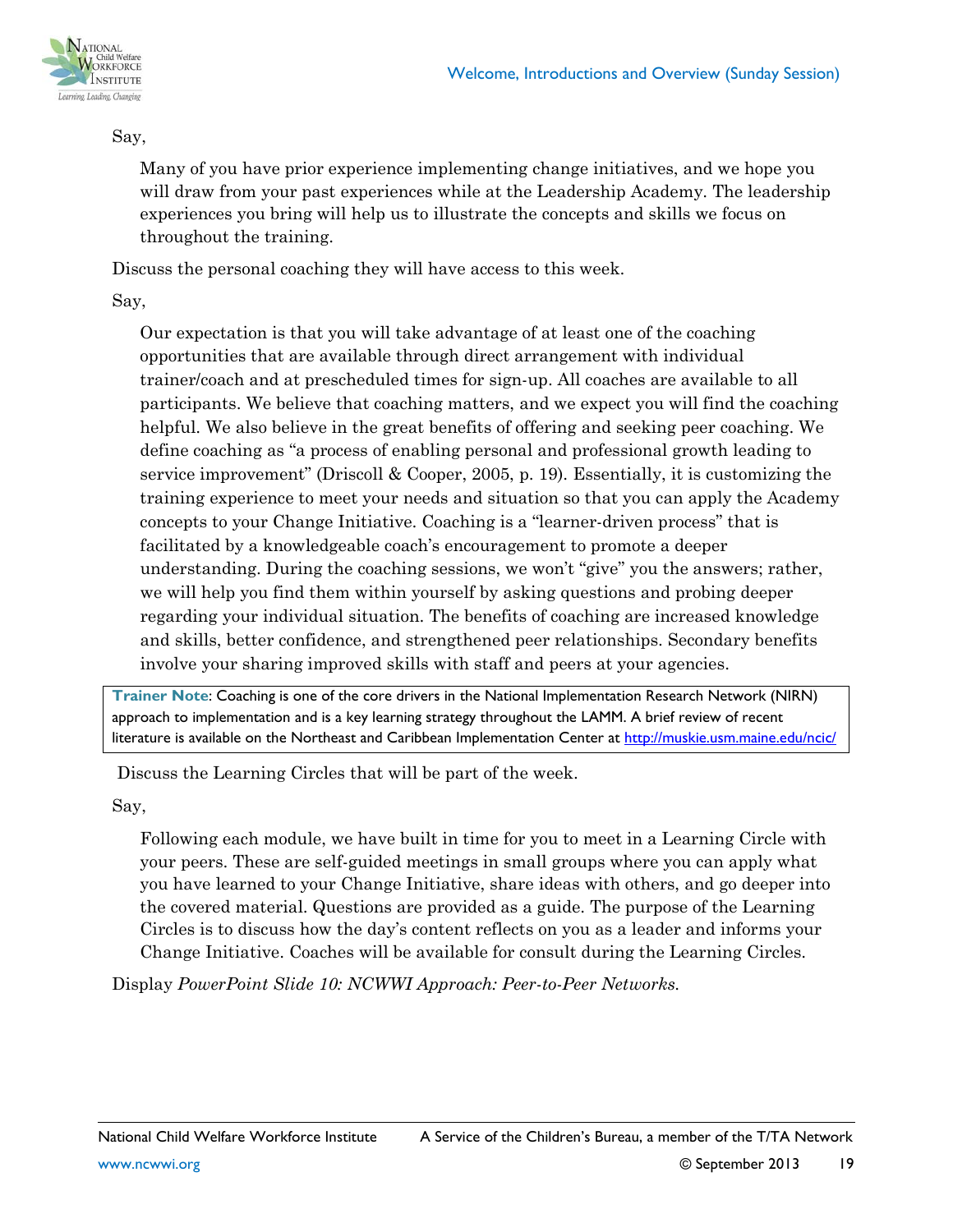

#### Say,

Many of you have prior experience implementing change initiatives, and we hope you will draw from your past experiences while at the Leadership Academy. The leadership experiences you bring will help us to illustrate the concepts and skills we focus on throughout the training.

Discuss the personal coaching they will have access to this week.

Say,

Our expectation is that you will take advantage of at least one of the coaching opportunities that are available through direct arrangement with individual trainer/coach and at prescheduled times for sign-up. All coaches are available to all participants. We believe that coaching matters, and we expect you will find the coaching helpful. We also believe in the great benefits of offering and seeking peer coaching. We define coaching as "a process of enabling personal and professional growth leading to service improvement" (Driscoll & Cooper, 2005, p. 19). Essentially, it is customizing the training experience to meet your needs and situation so that you can apply the Academy concepts to your Change Initiative. Coaching is a "learner-driven process" that is facilitated by a knowledgeable coach's encouragement to promote a deeper understanding. During the coaching sessions, we won't "give" you the answers; rather, we will help you find them within yourself by asking questions and probing deeper regarding your individual situation. The benefits of coaching are increased knowledge and skills, better confidence, and strengthened peer relationships. Secondary benefits involve your sharing improved skills with staff and peers at your agencies.

**Trainer Note**: Coaching is one of the core drivers in the National Implementation Research Network (NIRN) approach to implementation and is a key learning strategy throughout the LAMM. A brief review of recent literature is available on the Northeast and Caribbean Implementation Center at<http://muskie.usm.maine.edu/ncic/>

Discuss the Learning Circles that will be part of the week.

Say,

Following each module, we have built in time for you to meet in a Learning Circle with your peers. These are self-guided meetings in small groups where you can apply what you have learned to your Change Initiative, share ideas with others, and go deeper into the covered material. Questions are provided as a guide. The purpose of the Learning Circles is to discuss how the day's content reflects on you as a leader and informs your Change Initiative. Coaches will be available for consult during the Learning Circles.

Display *PowerPoint Slide 10: NCWWI Approach: Peer-to-Peer Networks.*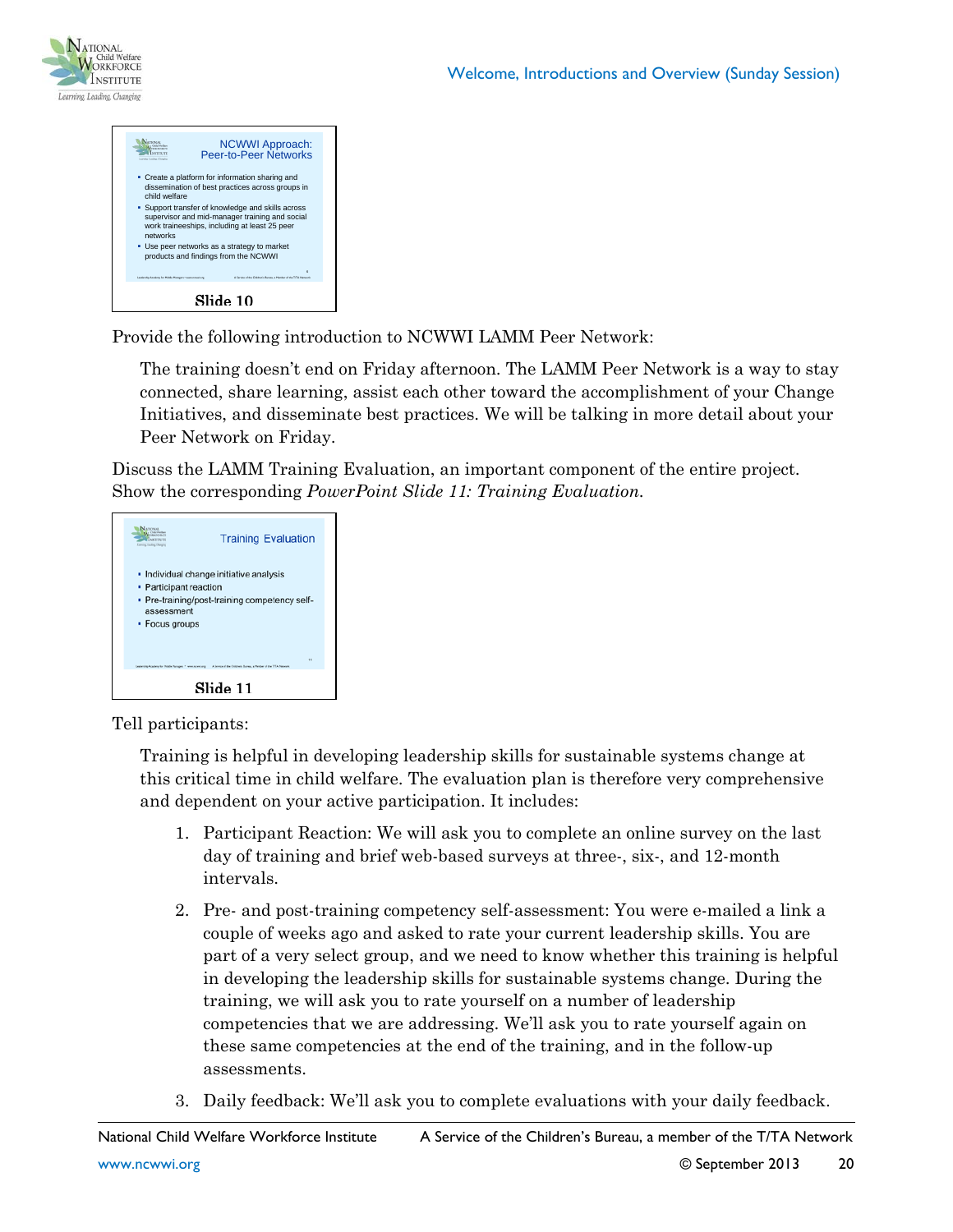



Provide the following introduction to NCWWI LAMM Peer Network:

The training doesn't end on Friday afternoon. The LAMM Peer Network is a way to stay connected, share learning, assist each other toward the accomplishment of your Change Initiatives, and disseminate best practices. We will be talking in more detail about your Peer Network on Friday.

Discuss the LAMM Training Evaluation, an important component of the entire project. Show the corresponding *PowerPoint Slide 11: Training Evaluation.*



Tell participants:

Training is helpful in developing leadership skills for sustainable systems change at this critical time in child welfare. The evaluation plan is therefore very comprehensive and dependent on your active participation. It includes:

- 1. Participant Reaction: We will ask you to complete an online survey on the last day of training and brief web-based surveys at three-, six-, and 12-month intervals.
- 2. Pre- and post-training competency self-assessment: You were e-mailed a link a couple of weeks ago and asked to rate your current leadership skills. You are part of a very select group, and we need to know whether this training is helpful in developing the leadership skills for sustainable systems change. During the training, we will ask you to rate yourself on a number of leadership competencies that we are addressing. We'll ask you to rate yourself again on these same competencies at the end of the training, and in the follow-up assessments.
- 3. Daily feedback: We'll ask you to complete evaluations with your daily feedback.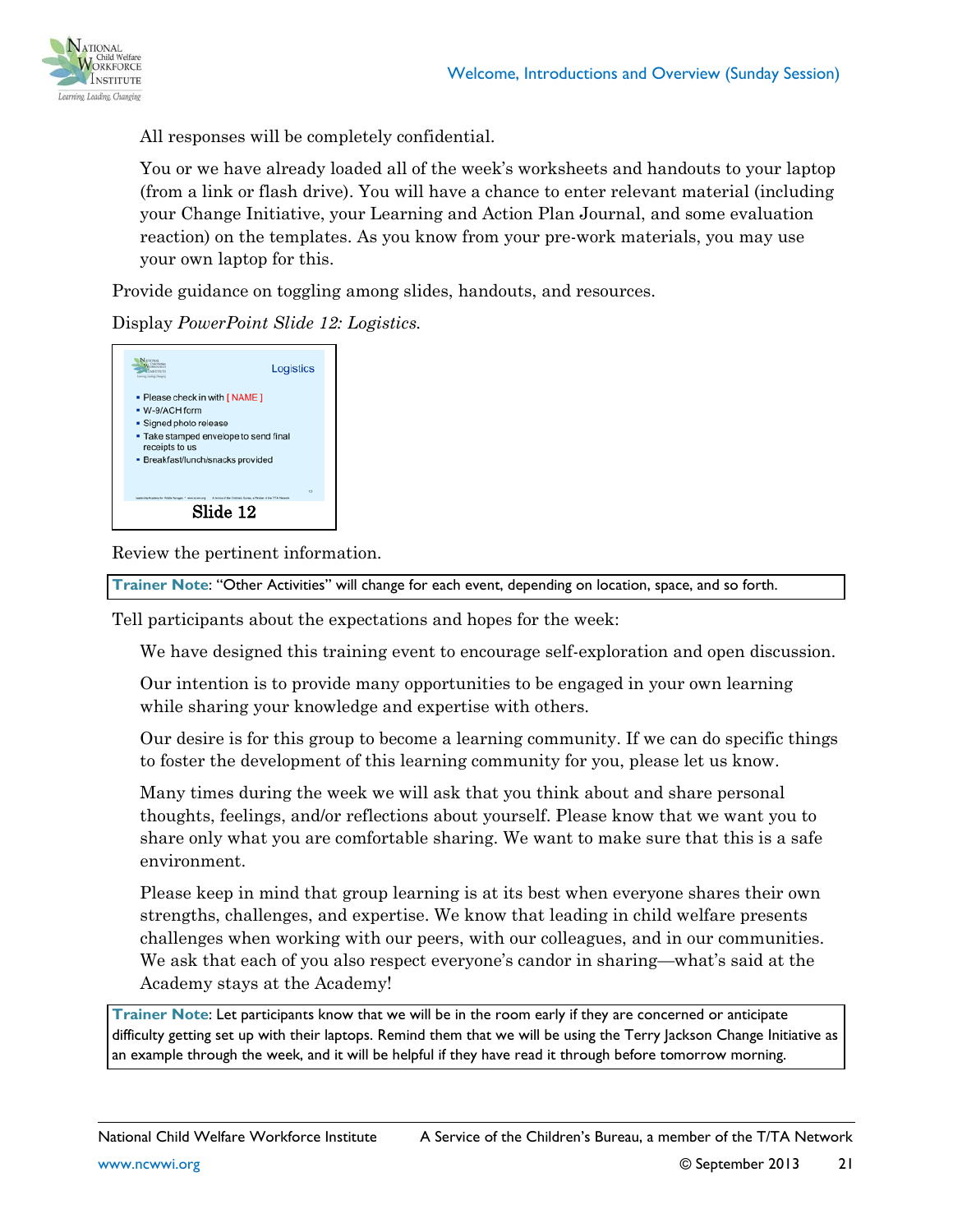

All responses will be completely confidential.

You or we have already loaded all of the week's worksheets and handouts to your laptop (from a link or flash drive). You will have a chance to enter relevant material (including your Change Initiative, your Learning and Action Plan Journal, and some evaluation reaction) on the templates. As you know from your pre-work materials, you may use your own laptop for this.

Provide guidance on toggling among slides, handouts, and resources.

Display *PowerPoint Slide 12: Logistics.*



Review the pertinent information.

**Trainer Note**: "Other Activities" will change for each event, depending on location, space, and so forth.

Tell participants about the expectations and hopes for the week:

We have designed this training event to encourage self-exploration and open discussion.

Our intention is to provide many opportunities to be engaged in your own learning while sharing your knowledge and expertise with others.

Our desire is for this group to become a learning community. If we can do specific things to foster the development of this learning community for you, please let us know.

Many times during the week we will ask that you think about and share personal thoughts, feelings, and/or reflections about yourself. Please know that we want you to share only what you are comfortable sharing. We want to make sure that this is a safe environment.

Please keep in mind that group learning is at its best when everyone shares their own strengths, challenges, and expertise. We know that leading in child welfare presents challenges when working with our peers, with our colleagues, and in our communities. We ask that each of you also respect everyone's candor in sharing—what's said at the Academy stays at the Academy!

**Trainer Note**: Let participants know that we will be in the room early if they are concerned or anticipate difficulty getting set up with their laptops. Remind them that we will be using the Terry Jackson Change Initiative as an example through the week, and it will be helpful if they have read it through before tomorrow morning.